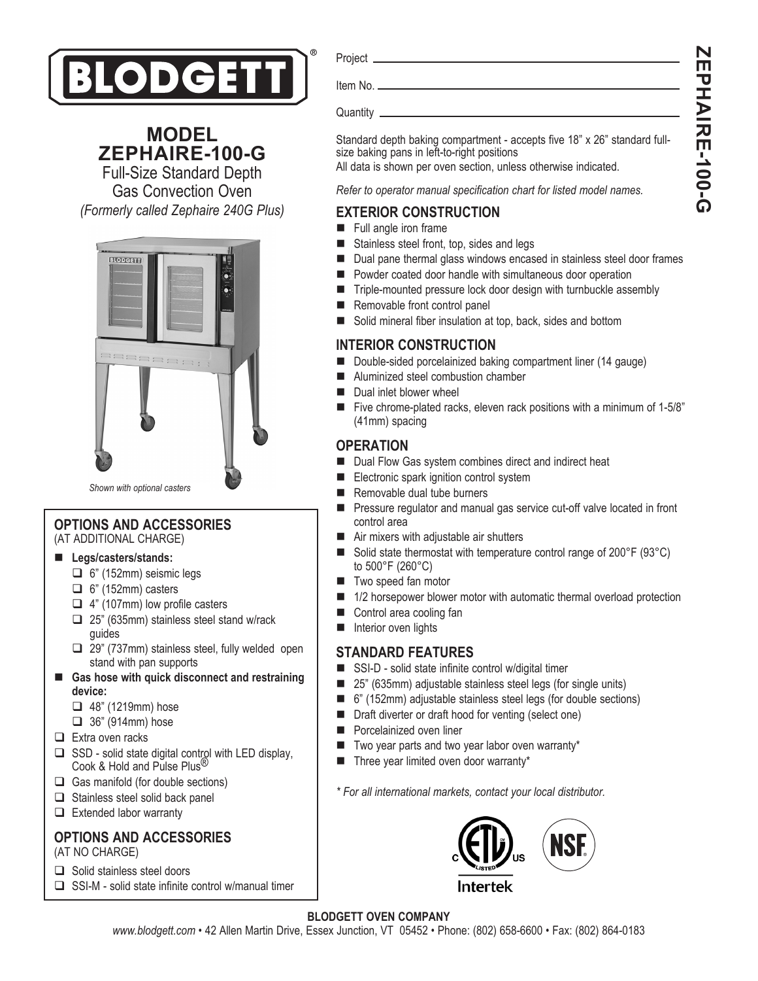

**MODEL ZEPHAIRE-100-G**

Full-Size Standard Depth Gas Convection Oven *(Formerly called Zephaire 240G Plus)*



*Shown with optional casters*

# **OPTIONS AND ACCESSORIES**

(AT ADDITIONAL CHARGE)

#### **Legs/casters/stands:**

- $\Box$  6" (152mm) seismic legs
- $\Box$  6" (152mm) casters
- $\Box$  4" (107mm) low profile casters
- □ 25" (635mm) stainless steel stand w/rack guides
- □ 29" (737mm) stainless steel, fully welded open stand with pan supports
- Gas hose with quick disconnect and restraining **device:**
	- $\Box$  48" (1219mm) hose
	- $\Box$  36" (914mm) hose
- $\Box$  Extra oven racks
- $\square$  SSD solid state digital control with LED display, Cook & Hold and Pulse Plus®
- $\Box$  Gas manifold (for double sections)
- $\Box$  Stainless steel solid back panel
- $\Box$  Extended labor warranty

## **OPTIONS AND ACCESSORIES**

- (AT NO CHARGE)
- $\Box$  Solid stainless steel doors
- $\square$  SSI-M solid state infinite control w/manual timer

Project

Item No.

Quantity \_

Standard depth baking compartment - accepts five 18" x 26" standard fullsize baking pans in left-to-right positions

All data is shown per oven section, unless otherwise indicated.

*Refer to operator manual specification chart for listed model names.*

## **EXTERIOR CONSTRUCTION**

- **Full angle iron frame**
- Stainless steel front, top, sides and legs
- Dual pane thermal glass windows encased in stainless steel door frames
- Powder coated door handle with simultaneous door operation
- Triple-mounted pressure lock door design with turnbuckle assembly
- Removable front control panel
- Solid mineral fiber insulation at top, back, sides and bottom

## **INTERIOR CONSTRUCTION**

- Double-sided porcelainized baking compartment liner (14 gauge)
- Aluminized steel combustion chamber
- Dual inlet blower wheel
- Five chrome-plated racks, eleven rack positions with a minimum of 1-5/8" (41mm) spacing

## **OPERATION**

- Dual Flow Gas system combines direct and indirect heat
- Electronic spark ignition control system
- Removable dual tube burners
- **Pressure regulator and manual gas service cut-off valve located in front** control area
- Air mixers with adjustable air shutters
- Solid state thermostat with temperature control range of 200°F (93°C) to 500°F (260°C)
- **Two speed fan motor**
- 1/2 horsepower blower motor with automatic thermal overload protection
- Control area cooling fan
- **Interior oven lights**

## **STANDARD FEATURES**

- SSI-D solid state infinite control w/digital timer
- 25" (635mm) adjustable stainless steel legs (for single units)
- 6" (152mm) adjustable stainless steel legs (for double sections)
- Draft diverter or draft hood for venting (select one)
- **Porcelainized oven liner**
- Two year parts and two year labor oven warranty\*
- Three year limited oven door warranty\*

*\* For all international markets, contact your local distributor.*